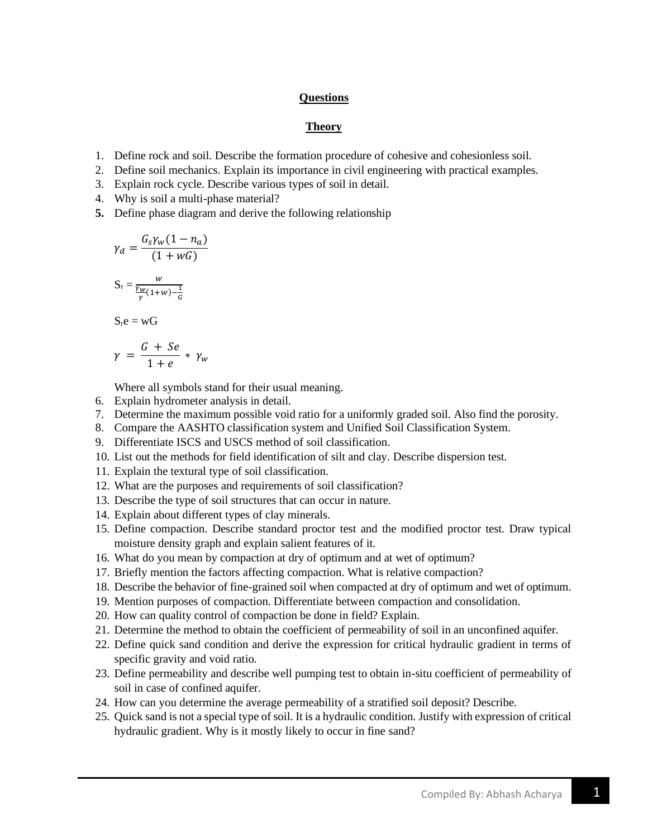### **Questions**

### **Theory**

- 1. Define rock and soil. Describe the formation procedure of cohesive and cohesionless soil.
- 2. Define soil mechanics. Explain its importance in civil engineering with practical examples.
- 3. Explain rock cycle. Describe various types of soil in detail.
- 4. Why is soil a multi-phase material?
- **5.** Define phase diagram and derive the following relationship

$$
\gamma_d = \frac{G_s \gamma_w (1 - n_a)}{(1 + wG)}
$$
  

$$
S_r = \frac{w}{\frac{\gamma_w}{\gamma (1 + w) - \frac{1}{G}}}
$$
  

$$
S_r e = wG
$$
  

$$
\gamma = \frac{G + Se}{1 + e} * \gamma_w
$$

Where all symbols stand for their usual meaning.

- 6. Explain hydrometer analysis in detail.
- 7. Determine the maximum possible void ratio for a uniformly graded soil. Also find the porosity.
- 8. Compare the AASHTO classification system and Unified Soil Classification System.
- 9. Differentiate ISCS and USCS method of soil classification.
- 10. List out the methods for field identification of silt and clay. Describe dispersion test.
- 11. Explain the textural type of soil classification.
- 12. What are the purposes and requirements of soil classification?
- 13. Describe the type of soil structures that can occur in nature.
- 14. Explain about different types of clay minerals.
- 15. Define compaction. Describe standard proctor test and the modified proctor test. Draw typical moisture density graph and explain salient features of it.
- 16. What do you mean by compaction at dry of optimum and at wet of optimum?
- 17. Briefly mention the factors affecting compaction. What is relative compaction?
- 18. Describe the behavior of fine-grained soil when compacted at dry of optimum and wet of optimum.
- 19. Mention purposes of compaction. Differentiate between compaction and consolidation.
- 20. How can quality control of compaction be done in field? Explain.
- 21. Determine the method to obtain the coefficient of permeability of soil in an unconfined aquifer.
- 22. Define quick sand condition and derive the expression for critical hydraulic gradient in terms of specific gravity and void ratio.
- 23. Define permeability and describe well pumping test to obtain in-situ coefficient of permeability of soil in case of confined aquifer.
- 24. How can you determine the average permeability of a stratified soil deposit? Describe.
- 25. Quick sand is not a special type of soil. It is a hydraulic condition. Justify with expression of critical hydraulic gradient. Why is it mostly likely to occur in fine sand?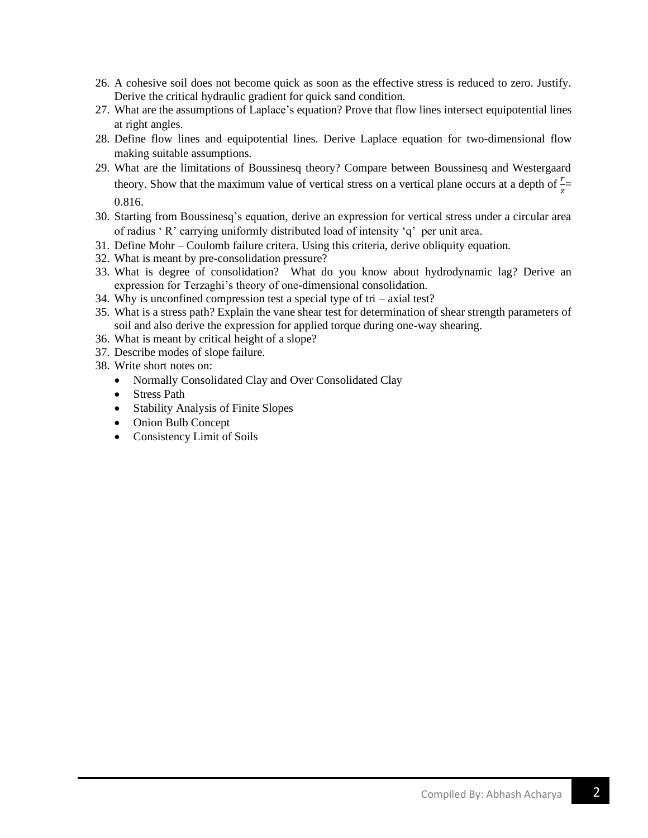- 26. A cohesive soil does not become quick as soon as the effective stress is reduced to zero. Justify. Derive the critical hydraulic gradient for quick sand condition.
- 27. What are the assumptions of Laplace's equation? Prove that flow lines intersect equipotential lines at right angles.
- 28. Define flow lines and equipotential lines. Derive Laplace equation for two-dimensional flow making suitable assumptions.
- 29. What are the limitations of Boussinesq theory? Compare between Boussinesq and Westergaard theory. Show that the maximum value of vertical stress on a vertical plane occurs at a depth of  $\frac{r}{z}$ 0.816.
- 30. Starting from Boussinesq's equation, derive an expression for vertical stress under a circular area of radius ' R' carrying uniformly distributed load of intensity 'q' per unit area.
- 31. Define Mohr Coulomb failure critera. Using this criteria, derive obliquity equation.
- 32. What is meant by pre-consolidation pressure?
- 33. What is degree of consolidation? What do you know about hydrodynamic lag? Derive an expression for Terzaghi's theory of one-dimensional consolidation.
- 34. Why is unconfined compression test a special type of tri axial test?
- 35. What is a stress path? Explain the vane shear test for determination of shear strength parameters of soil and also derive the expression for applied torque during one-way shearing.
- 36. What is meant by critical height of a slope?
- 37. Describe modes of slope failure.
- 38. Write short notes on:
	- Normally Consolidated Clay and Over Consolidated Clay
	- Stress Path
	- Stability Analysis of Finite Slopes
	- Onion Bulb Concept
	- Consistency Limit of Soils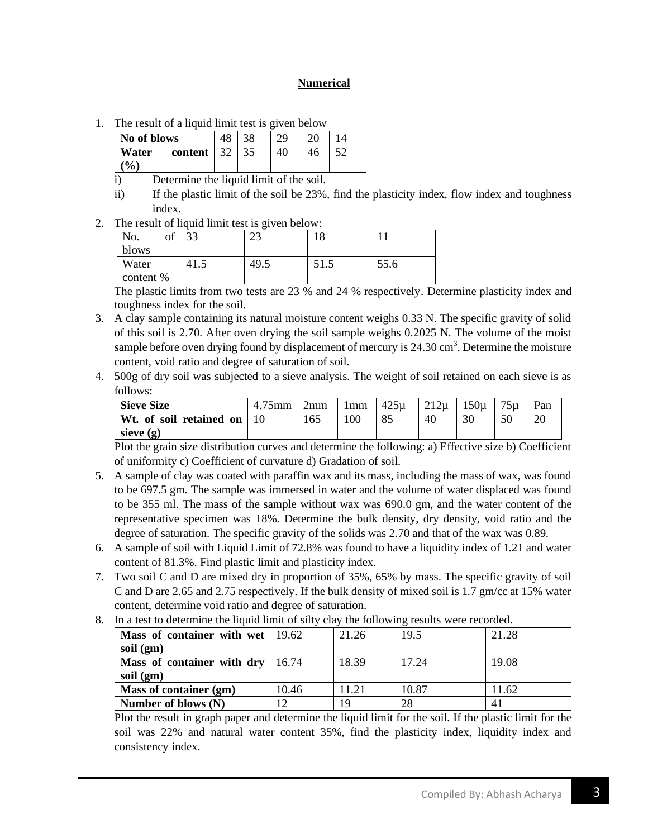# **Numerical**

1. The result of a liquid limit test is given below

| No of blows                                     |  | 20 |  |
|-------------------------------------------------|--|----|--|
| Water<br>content $\vert$ 32<br>$\mathcal{O}(n)$ |  | 40 |  |

- i) Determine the liquid limit of the soil.
- ii) If the plastic limit of the soil be 23%, find the plasticity index, flow index and toughness index.
- 2. The result of liquid limit test is given below:

| No.       | of | っっ   | $\cap$<br>رے | 10   |      |
|-----------|----|------|--------------|------|------|
| blows     |    |      |              |      |      |
| Water     |    | 41.5 | 49.5         | 51.5 | 55.6 |
| content % |    |      |              |      |      |

The plastic limits from two tests are 23 % and 24 % respectively. Determine plasticity index and toughness index for the soil.

- 3. A clay sample containing its natural moisture content weighs 0.33 N. The specific gravity of solid of this soil is 2.70. After oven drying the soil sample weighs 0.2025 N. The volume of the moist sample before oven drying found by displacement of mercury is  $24.30 \text{ cm}^3$ . Determine the moisture content, void ratio and degree of saturation of soil.
- 4. 500g of dry soil was subjected to a sieve analysis. The weight of soil retained on each sieve is as follows:

| <b>Sieve Size</b>            | $75$ mm | 2mm | l mm | $425\mu$ | 212u | $50\mu$ | 75 <sub>µ</sub> | Pan |
|------------------------------|---------|-----|------|----------|------|---------|-----------------|-----|
| Wt. of soil retained on   10 |         | 165 | 100  | 85       | 40   |         |                 |     |
| sieve $(g)$                  |         |     |      |          |      |         |                 |     |

Plot the grain size distribution curves and determine the following: a) Effective size b) Coefficient of uniformity c) Coefficient of curvature d) Gradation of soil.

- 5. A sample of clay was coated with paraffin wax and its mass, including the mass of wax, was found to be 697.5 gm. The sample was immersed in water and the volume of water displaced was found to be 355 ml. The mass of the sample without wax was 690.0 gm, and the water content of the representative specimen was 18%. Determine the bulk density, dry density, void ratio and the degree of saturation. The specific gravity of the solids was 2.70 and that of the wax was 0.89.
- 6. A sample of soil with Liquid Limit of 72.8% was found to have a liquidity index of 1.21 and water content of 81.3%. Find plastic limit and plasticity index.
- 7. Two soil C and D are mixed dry in proportion of 35%, 65% by mass. The specific gravity of soil C and D are 2.65 and 2.75 respectively. If the bulk density of mixed soil is 1.7 gm/cc at 15% water content, determine void ratio and degree of saturation.

| Mass of container with wet   19.62 |       | 21.26 | 19.5  | 21.28 |
|------------------------------------|-------|-------|-------|-------|
| soil (gm)                          |       |       |       |       |
| Mass of container with dry   16.74 |       | 18.39 | 17.24 | 19.08 |
| soil (gm)                          |       |       |       |       |
| Mass of container (gm)             | 10.46 | 1.21  | 10.87 | 11.62 |
| Number of blows (N)                | 12    | 19    | 28    |       |

8. In a test to determine the liquid limit of silty clay the following results were recorded.

Plot the result in graph paper and determine the liquid limit for the soil. If the plastic limit for the soil was 22% and natural water content 35%, find the plasticity index, liquidity index and consistency index.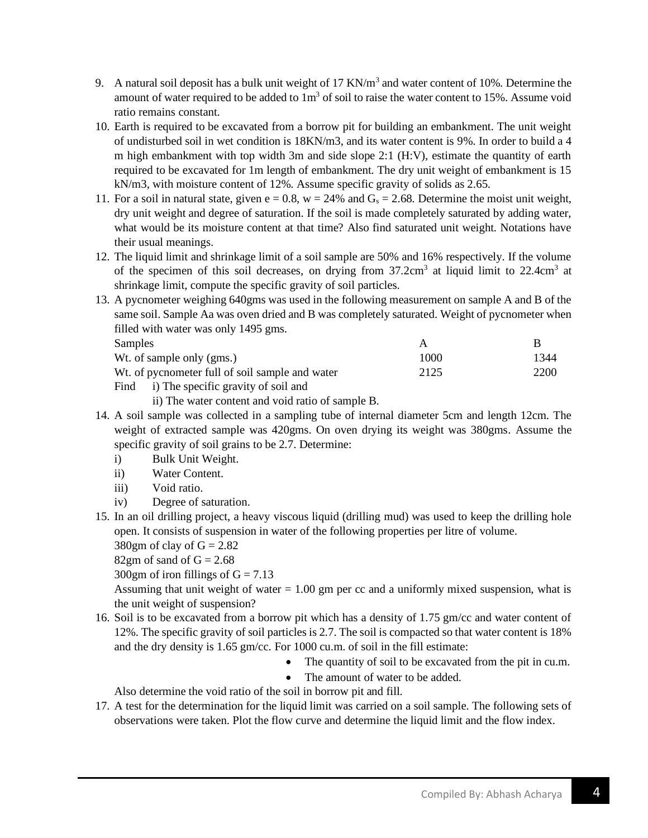- 9. A natural soil deposit has a bulk unit weight of 17 KN/ $m<sup>3</sup>$  and water content of 10%. Determine the amount of water required to be added to  $1m<sup>3</sup>$  of soil to raise the water content to 15%. Assume void ratio remains constant.
- 10. Earth is required to be excavated from a borrow pit for building an embankment. The unit weight of undisturbed soil in wet condition is 18KN/m3, and its water content is 9%. In order to build a 4 m high embankment with top width 3m and side slope 2:1 (H:V), estimate the quantity of earth required to be excavated for 1m length of embankment. The dry unit weight of embankment is 15 kN/m3, with moisture content of 12%. Assume specific gravity of solids as 2.65.
- 11. For a soil in natural state, given  $e = 0.8$ ,  $w = 24\%$  and  $G_s = 2.68$ . Determine the moist unit weight, dry unit weight and degree of saturation. If the soil is made completely saturated by adding water, what would be its moisture content at that time? Also find saturated unit weight. Notations have their usual meanings.
- 12. The liquid limit and shrinkage limit of a soil sample are 50% and 16% respectively. If the volume of the specimen of this soil decreases, on drying from  $37.2 \text{cm}^3$  at liquid limit to  $22.4 \text{cm}^3$  at shrinkage limit, compute the specific gravity of soil particles.
- 13. A pycnometer weighing 640gms was used in the following measurement on sample A and B of the same soil. Sample Aa was oven dried and B was completely saturated. Weight of pycnometer when filled with water was only 1495 gms.

| Samples                                         |      |      |
|-------------------------------------------------|------|------|
| Wt. of sample only (gms.)                       | 1000 | 1344 |
| Wt. of pycnometer full of soil sample and water | 2125 | 2200 |

Find i) The specific gravity of soil and

ii) The water content and void ratio of sample B.

- 14. A soil sample was collected in a sampling tube of internal diameter 5cm and length 12cm. The weight of extracted sample was 420gms. On oven drying its weight was 380gms. Assume the specific gravity of soil grains to be 2.7. Determine:
	- i) Bulk Unit Weight.
	- ii) Water Content.
	- iii) Void ratio.
	- iv) Degree of saturation.
- 15. In an oil drilling project, a heavy viscous liquid (drilling mud) was used to keep the drilling hole open. It consists of suspension in water of the following properties per litre of volume. 380gm of clay of  $G = 2.82$

82gm of sand of  $G = 2.68$ 

300gm of iron fillings of  $G = 7.13$ 

Assuming that unit weight of water  $= 1.00$  gm per cc and a uniformly mixed suspension, what is the unit weight of suspension?

- 16. Soil is to be excavated from a borrow pit which has a density of 1.75 gm/cc and water content of 12%. The specific gravity of soil particles is 2.7. The soil is compacted so that water content is 18% and the dry density is 1.65 gm/cc. For 1000 cu.m. of soil in the fill estimate:
	- The quantity of soil to be excavated from the pit in cu.m.
	- The amount of water to be added.

Also determine the void ratio of the soil in borrow pit and fill.

17. A test for the determination for the liquid limit was carried on a soil sample. The following sets of observations were taken. Plot the flow curve and determine the liquid limit and the flow index.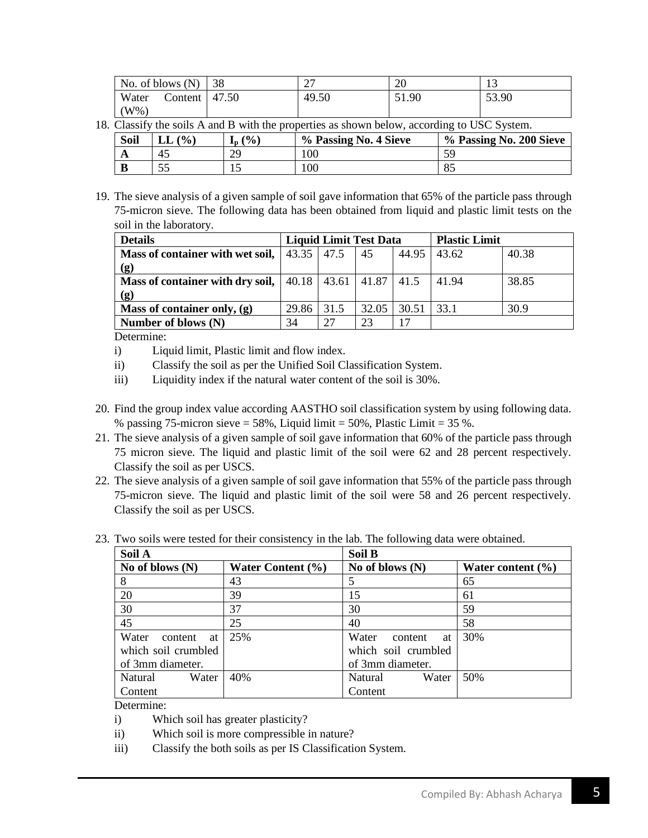|       | No. of blows $(N)$ | 38    | $\mathbin{\lnot}$<br>∸ ' | $\Delta$<br>ZU | ⊥ື    |
|-------|--------------------|-------|--------------------------|----------------|-------|
| Water | Content            | 47.50 | 49.50                    | 51.90          | 53.90 |
| W%    |                    |       |                          |                |       |

18. Classify the soils A and B with the properties as shown below, according to USC System.

| Soil | (9/0)<br>LL | $\frac{10}{6}$<br>ιn. | % Passing No. 4 Sieve | % Passing No. 200 Sieve |
|------|-------------|-----------------------|-----------------------|-------------------------|
| A    | 45          | 29                    | 100                   | 59                      |
| B    | ິ           | ⊥⊷                    | 100                   | OΣ<br>ŌJ                |

19. The sieve analysis of a given sample of soil gave information that 65% of the particle pass through 75-micron sieve. The following data has been obtained from liquid and plastic limit tests on the soil in the laboratory.

| <b>Details</b>                                                         | <b>Liquid Limit Test Data</b> |      |       | <b>Plastic Limit</b> |       |       |
|------------------------------------------------------------------------|-------------------------------|------|-------|----------------------|-------|-------|
| <b>Mass of container with wet soil,</b> $  43.35   47.5$               |                               |      | 45    | 44.95                | 43.62 | 40.38 |
| (g)                                                                    |                               |      |       |                      |       |       |
| <b>Mass of container with dry soil,</b>   40.18   43.61   41.87   41.5 |                               |      |       |                      | 41.94 | 38.85 |
| (g)                                                                    |                               |      |       |                      |       |       |
| Mass of container only, $(g)$                                          | 29.86                         | 31.5 | 32.05 | 30.51                | 33.1  | 30.9  |
| Number of blows $(N)$                                                  | 34                            | 27   | 23    |                      |       |       |

Determine:

- i) Liquid limit, Plastic limit and flow index.
- ii) Classify the soil as per the Unified Soil Classification System.
- iii) Liquidity index if the natural water content of the soil is 30%.
- 20. Find the group index value according AASTHO soil classification system by using following data. % passing 75-micron sieve =  $58\%$ , Liquid limit =  $50\%$ , Plastic Limit =  $35\%$ .
- 21. The sieve analysis of a given sample of soil gave information that 60% of the particle pass through 75 micron sieve. The liquid and plastic limit of the soil were 62 and 28 percent respectively. Classify the soil as per USCS.
- 22. The sieve analysis of a given sample of soil gave information that 55% of the particle pass through 75-micron sieve. The liquid and plastic limit of the soil were 58 and 26 percent respectively. Classify the soil as per USCS.

| Soil A                 |                       | Soil B                 |                       |  |  |
|------------------------|-----------------------|------------------------|-----------------------|--|--|
| No of blows $(N)$      | Water Content $(\% )$ | No of blows $(N)$      | Water content $(\% )$ |  |  |
| 8                      | 43                    |                        | 65                    |  |  |
| 20                     | 39                    | 15                     | 61                    |  |  |
| 30                     | 37                    | 30                     | 59                    |  |  |
| 45                     | 25                    | 40                     | 58                    |  |  |
| Water<br>content<br>at | 25%                   | Water<br>content<br>at | 30%                   |  |  |
| which soil crumbled    |                       | which soil crumbled    |                       |  |  |
| of 3mm diameter.       |                       | of 3mm diameter.       |                       |  |  |
| Natural<br>Water       | 40%                   | Water<br>Natural       | 50%                   |  |  |
| Content                |                       | Content                |                       |  |  |

23. Two soils were tested for their consistency in the lab. The following data were obtained.

Determine:

- i) Which soil has greater plasticity?
- ii) Which soil is more compressible in nature?
- iii) Classify the both soils as per IS Classification System.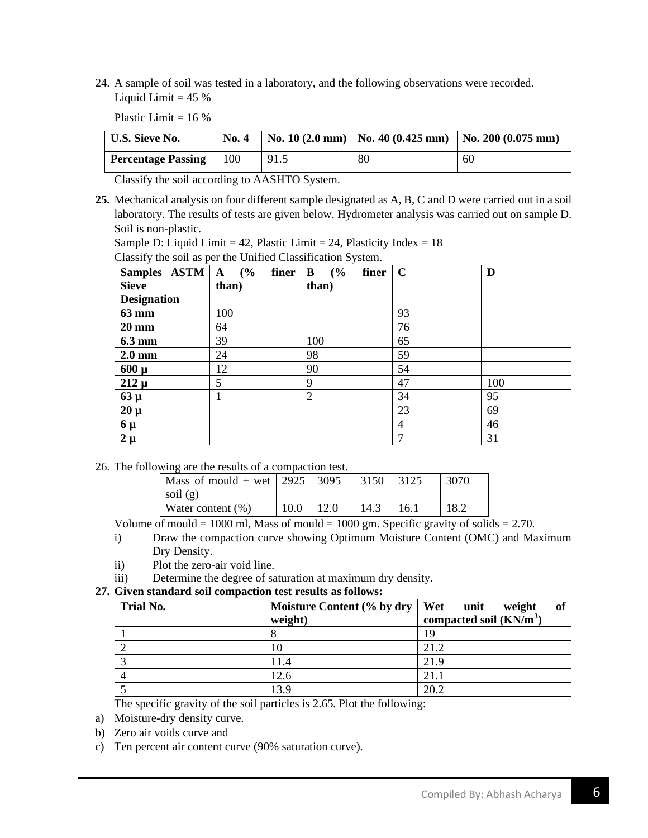24. A sample of soil was tested in a laboratory, and the following observations were recorded. Liquid Limit  $= 45 \%$ 

Plastic Limit  $= 16\%$ 

| <b>U.S. Sieve No.</b>     | <b>No. 4</b> |      |    | No. 10 (2.0 mm)   No. 40 (0.425 mm)   No. 200 (0.075 mm) |
|---------------------------|--------------|------|----|----------------------------------------------------------|
| <b>Percentage Passing</b> | 100          | 91.5 | 80 | 60                                                       |

Classify the soil according to AASHTO System.

**25.** Mechanical analysis on four different sample designated as A, B, C and D were carried out in a soil laboratory. The results of tests are given below. Hydrometer analysis was carried out on sample D. Soil is non-plastic.

Sample D: Liquid Limit = 42, Plastic Limit = 24, Plasticity Index =  $18$ 

Classify the soil as per the Unified Classification System.

| Samples $ASTM   A (%)$<br><b>Sieve</b> | finer<br>than) | (%)<br>finer<br>$\bf{B}$<br>than) | $\mathbf C$    | D   |
|----------------------------------------|----------------|-----------------------------------|----------------|-----|
| <b>Designation</b>                     |                |                                   |                |     |
| 63 mm                                  | 100            |                                   | 93             |     |
| $20 \text{ mm}$                        | 64             |                                   | 76             |     |
| 6.3 mm                                 | 39             | 100                               | 65             |     |
| $2.0 \text{ mm}$                       | 24             | 98                                | 59             |     |
| $600 \mu$                              | 12             | 90                                | 54             |     |
| $212 \mu$                              | 5              | 9                                 | 47             | 100 |
| $63 \mu$                               |                | 2                                 | 34             | 95  |
| $20 \mu$                               |                |                                   | 23             | 69  |
| $6 \mu$                                |                |                                   | $\overline{4}$ | 46  |
| $2 \mu$                                |                |                                   | 7              | 31  |

26. The following are the results of a compaction test.

| Mass of mould + wet   2925   3095 |      |       | $ 3150 $ 3125 |      | 3070 |
|-----------------------------------|------|-------|---------------|------|------|
| soil $(g)$                        |      |       |               |      |      |
| Water content $(\%)$              | 10.0 | 112.0 | 14.3          | 16.1 | 18.2 |

Volume of mould = 1000 ml, Mass of mould = 1000 gm. Specific gravity of solids =  $2.70$ .

- i) Draw the compaction curve showing Optimum Moisture Content (OMC) and Maximum Dry Density.
- ii) Plot the zero-air void line.
- iii) Determine the degree of saturation at maximum dry density.

### **27. Given standard soil compaction test results as follows:**

| <b>Trial No.</b> | Moisture Content $(\%$ by dry   Wet unit | weight<br>of              |
|------------------|------------------------------------------|---------------------------|
|                  | weight)                                  | compacted soil $(KN/m^3)$ |
|                  | О                                        |                           |
|                  | 10                                       | 21.2                      |
|                  | 11.4                                     | 21.9                      |
|                  | 12.6                                     | 21.1                      |
|                  | 13.9                                     | 20.2                      |

The specific gravity of the soil particles is 2.65. Plot the following:

- a) Moisture-dry density curve.
- b) Zero air voids curve and
- c) Ten percent air content curve (90% saturation curve).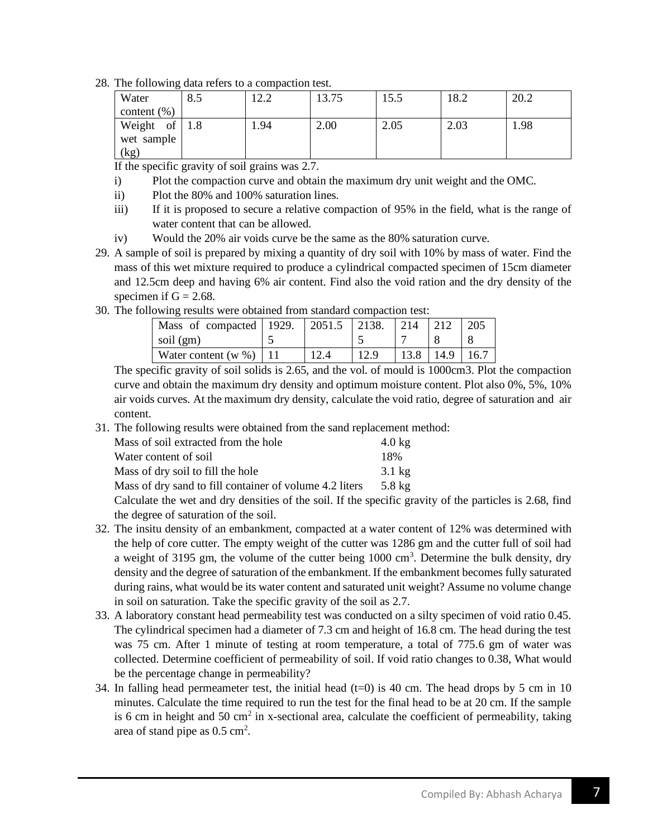28. The following data refers to a compaction test.

| Water          | 8.5 | ר רו<br>ے . ک | 13.75 | 15.5 | 18.2 | 20.2 |
|----------------|-----|---------------|-------|------|------|------|
| content $(\%)$ |     |               |       |      |      |      |
| Weight of      | 1.8 | 1.94          | 2.00  | 2.05 | 2.03 | 1.98 |
| wet sample     |     |               |       |      |      |      |
| (kg)           |     |               |       |      |      |      |

If the specific gravity of soil grains was 2.7.

- i) Plot the compaction curve and obtain the maximum dry unit weight and the OMC.
- ii) Plot the 80% and 100% saturation lines.
- iii) If it is proposed to secure a relative compaction of 95% in the field, what is the range of water content that can be allowed.
- iv) Would the 20% air voids curve be the same as the 80% saturation curve.
- 29. A sample of soil is prepared by mixing a quantity of dry soil with 10% by mass of water. Find the mass of this wet mixture required to produce a cylindrical compacted specimen of 15cm diameter and 12.5cm deep and having 6% air content. Find also the void ration and the dry density of the specimen if  $G = 2.68$ .
- 30. The following results were obtained from standard compaction test:

| Mass of compacted 1929. | $\mid$ 2051.5 $\mid$ 2138. | 214  |      | 205  |
|-------------------------|----------------------------|------|------|------|
| soil (gm)               |                            |      |      |      |
| Water content $(w %)$   |                            | 13.8 | 14.9 | 16.7 |

The specific gravity of soil solids is 2.65, and the vol. of mould is 1000cm3. Plot the compaction curve and obtain the maximum dry density and optimum moisture content. Plot also 0%, 5%, 10% air voids curves. At the maximum dry density, calculate the void ratio, degree of saturation and air content.

31. The following results were obtained from the sand replacement method:

| Mass of soil extracted from the hole                    | $4.0 \text{ kg}$ |
|---------------------------------------------------------|------------------|
| Water content of soil                                   | 18%              |
| Mass of dry soil to fill the hole                       | $3.1 \text{ kg}$ |
| Mass of dry sand to fill container of volume 4.2 liters | $5.8 \text{ kg}$ |

Calculate the wet and dry densities of the soil. If the specific gravity of the particles is 2.68, find the degree of saturation of the soil.

- 32. The insitu density of an embankment, compacted at a water content of 12% was determined with the help of core cutter. The empty weight of the cutter was 1286 gm and the cutter full of soil had a weight of 3195 gm, the volume of the cutter being  $1000 \text{ cm}^3$ . Determine the bulk density, dry density and the degree of saturation of the embankment. If the embankment becomes fully saturated during rains, what would be its water content and saturated unit weight? Assume no volume change in soil on saturation. Take the specific gravity of the soil as 2.7.
- 33. A laboratory constant head permeability test was conducted on a silty specimen of void ratio 0.45. The cylindrical specimen had a diameter of 7.3 cm and height of 16.8 cm. The head during the test was 75 cm. After 1 minute of testing at room temperature, a total of 775.6 gm of water was collected. Determine coefficient of permeability of soil. If void ratio changes to 0.38, What would be the percentage change in permeability?
- 34. In falling head permeameter test, the initial head  $(t=0)$  is 40 cm. The head drops by 5 cm in 10 minutes. Calculate the time required to run the test for the final head to be at 20 cm. If the sample is 6 cm in height and 50 cm<sup>2</sup> in x-sectional area, calculate the coefficient of permeability, taking area of stand pipe as  $0.5 \text{ cm}^2$ .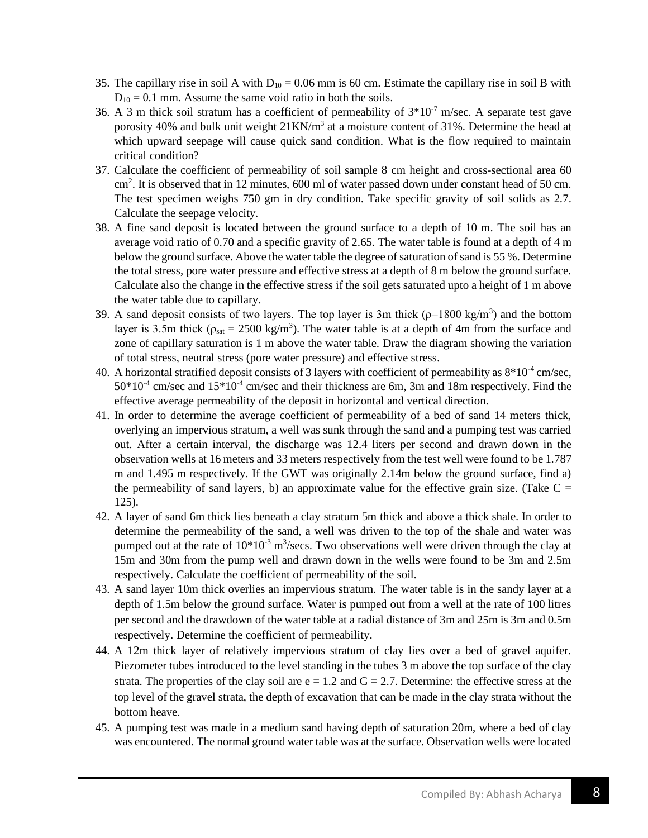- 35. The capillary rise in soil A with  $D_{10} = 0.06$  mm is 60 cm. Estimate the capillary rise in soil B with  $D_{10} = 0.1$  mm. Assume the same void ratio in both the soils.
- 36. A 3 m thick soil stratum has a coefficient of permeability of  $3*10^{-7}$  m/sec. A separate test gave porosity 40% and bulk unit weight  $21KN/m<sup>3</sup>$  at a moisture content of 31%. Determine the head at which upward seepage will cause quick sand condition. What is the flow required to maintain critical condition?
- 37. Calculate the coefficient of permeability of soil sample 8 cm height and cross-sectional area 60 cm<sup>2</sup>. It is observed that in 12 minutes, 600 ml of water passed down under constant head of 50 cm. The test specimen weighs 750 gm in dry condition. Take specific gravity of soil solids as 2.7. Calculate the seepage velocity.
- 38. A fine sand deposit is located between the ground surface to a depth of 10 m. The soil has an average void ratio of 0.70 and a specific gravity of 2.65. The water table is found at a depth of 4 m below the ground surface. Above the water table the degree of saturation of sand is 55 %. Determine the total stress, pore water pressure and effective stress at a depth of 8 m below the ground surface. Calculate also the change in the effective stress if the soil gets saturated upto a height of 1 m above the water table due to capillary.
- 39. A sand deposit consists of two layers. The top layer is 3m thick ( $p=1800 \text{ kg/m}^3$ ) and the bottom layer is 3.5m thick ( $\rho_{sat} = 2500 \text{ kg/m}^3$ ). The water table is at a depth of 4m from the surface and zone of capillary saturation is 1 m above the water table. Draw the diagram showing the variation of total stress, neutral stress (pore water pressure) and effective stress.
- 40. A horizontal stratified deposit consists of 3 layers with coefficient of permeability as  $8*10^{-4}$  cm/sec,  $50*10<sup>-4</sup>$  cm/sec and  $15*10<sup>-4</sup>$  cm/sec and their thickness are 6m, 3m and 18m respectively. Find the effective average permeability of the deposit in horizontal and vertical direction.
- 41. In order to determine the average coefficient of permeability of a bed of sand 14 meters thick, overlying an impervious stratum, a well was sunk through the sand and a pumping test was carried out. After a certain interval, the discharge was 12.4 liters per second and drawn down in the observation wells at 16 meters and 33 meters respectively from the test well were found to be 1.787 m and 1.495 m respectively. If the GWT was originally 2.14m below the ground surface, find a) the permeability of sand layers, b) an approximate value for the effective grain size. (Take  $C =$ 125).
- 42. A layer of sand 6m thick lies beneath a clay stratum 5m thick and above a thick shale. In order to determine the permeability of the sand, a well was driven to the top of the shale and water was pumped out at the rate of  $10*10^{-3}$  m<sup>3</sup>/secs. Two observations well were driven through the clay at 15m and 30m from the pump well and drawn down in the wells were found to be 3m and 2.5m respectively. Calculate the coefficient of permeability of the soil.
- 43. A sand layer 10m thick overlies an impervious stratum. The water table is in the sandy layer at a depth of 1.5m below the ground surface. Water is pumped out from a well at the rate of 100 litres per second and the drawdown of the water table at a radial distance of 3m and 25m is 3m and 0.5m respectively. Determine the coefficient of permeability.
- 44. A 12m thick layer of relatively impervious stratum of clay lies over a bed of gravel aquifer. Piezometer tubes introduced to the level standing in the tubes 3 m above the top surface of the clay strata. The properties of the clay soil are  $e = 1.2$  and  $G = 2.7$ . Determine: the effective stress at the top level of the gravel strata, the depth of excavation that can be made in the clay strata without the bottom heave.
- 45. A pumping test was made in a medium sand having depth of saturation 20m, where a bed of clay was encountered. The normal ground water table was at the surface. Observation wells were located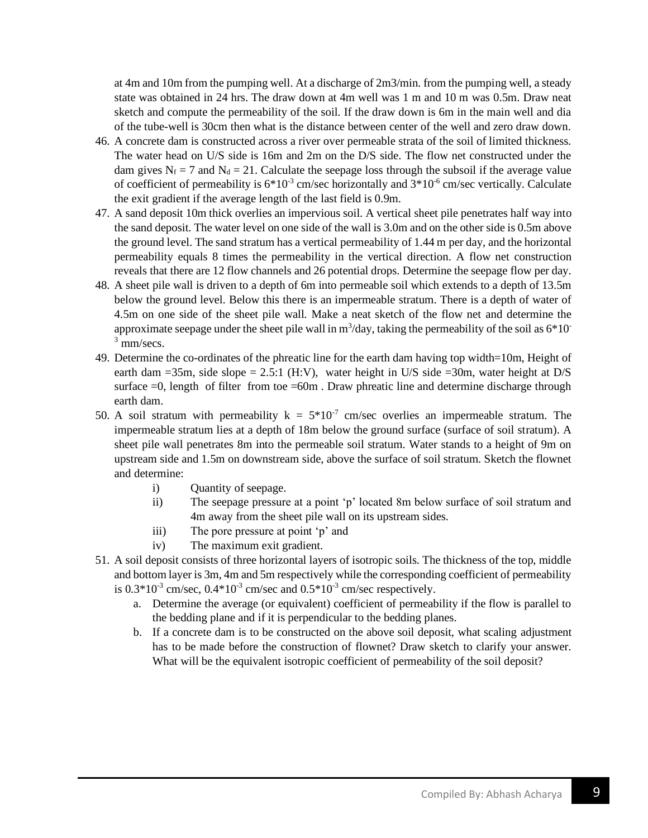at 4m and 10m from the pumping well. At a discharge of 2m3/min. from the pumping well, a steady state was obtained in 24 hrs. The draw down at 4m well was 1 m and 10 m was 0.5m. Draw neat sketch and compute the permeability of the soil. If the draw down is 6m in the main well and dia of the tube-well is 30cm then what is the distance between center of the well and zero draw down.

- 46. A concrete dam is constructed across a river over permeable strata of the soil of limited thickness. The water head on U/S side is 16m and 2m on the D/S side. The flow net constructed under the dam gives  $N_f = 7$  and  $N_d = 21$ . Calculate the seepage loss through the subsoil if the average value of coefficient of permeability is  $6*10<sup>-3</sup>$  cm/sec horizontally and  $3*10<sup>-6</sup>$  cm/sec vertically. Calculate the exit gradient if the average length of the last field is 0.9m.
- 47. A sand deposit 10m thick overlies an impervious soil. A vertical sheet pile penetrates half way into the sand deposit. The water level on one side of the wall is 3.0m and on the other side is 0.5m above the ground level. The sand stratum has a vertical permeability of 1.44 m per day, and the horizontal permeability equals 8 times the permeability in the vertical direction. A flow net construction reveals that there are 12 flow channels and 26 potential drops. Determine the seepage flow per day.
- 48. A sheet pile wall is driven to a depth of 6m into permeable soil which extends to a depth of 13.5m below the ground level. Below this there is an impermeable stratum. There is a depth of water of 4.5m on one side of the sheet pile wall. Make a neat sketch of the flow net and determine the approximate seepage under the sheet pile wall in  $m^3$ /day, taking the permeability of the soil as  $6*10^-$ <sup>3</sup> mm/secs.
- 49. Determine the co-ordinates of the phreatic line for the earth dam having top width=10m, Height of earth dam  $=35$ m, side slope  $= 2.5:1$  (H:V), water height in U/S side  $=30$ m, water height at D/S surface  $=0$ , length of filter from toe  $=60$ m. Draw phreatic line and determine discharge through earth dam.
- 50. A soil stratum with permeability  $k = 5*10^{-7}$  cm/sec overlies an impermeable stratum. The impermeable stratum lies at a depth of 18m below the ground surface (surface of soil stratum). A sheet pile wall penetrates 8m into the permeable soil stratum. Water stands to a height of 9m on upstream side and 1.5m on downstream side, above the surface of soil stratum. Sketch the flownet and determine:
	- i) Quantity of seepage.
	- ii) The seepage pressure at a point 'p' located 8m below surface of soil stratum and 4m away from the sheet pile wall on its upstream sides.
	- iii) The pore pressure at point 'p' and
	- iv) The maximum exit gradient.
- 51. A soil deposit consists of three horizontal layers of isotropic soils. The thickness of the top, middle and bottom layer is 3m, 4m and 5m respectively while the corresponding coefficient of permeability is  $0.3*10^{3}$  cm/sec,  $0.4*10^{3}$  cm/sec and  $0.5*10^{3}$  cm/sec respectively.
	- a. Determine the average (or equivalent) coefficient of permeability if the flow is parallel to the bedding plane and if it is perpendicular to the bedding planes.
	- b. If a concrete dam is to be constructed on the above soil deposit, what scaling adjustment has to be made before the construction of flownet? Draw sketch to clarify your answer. What will be the equivalent isotropic coefficient of permeability of the soil deposit?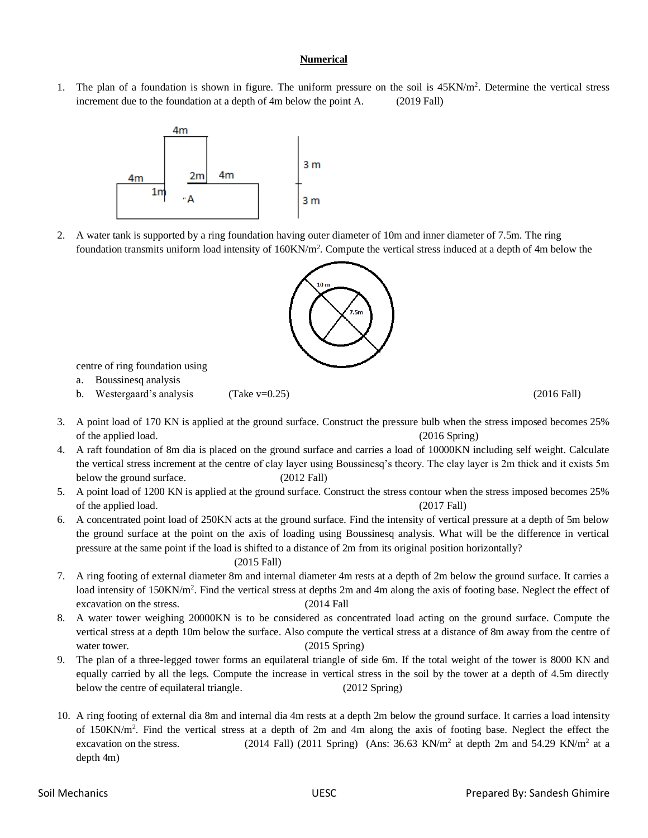### **Numerical**

1. The plan of a foundation is shown in figure. The uniform pressure on the soil is  $45KN/m^2$ . Determine the vertical stress increment due to the foundation at a depth of 4m below the point A. (2019 Fall)



2. A water tank is supported by a ring foundation having outer diameter of 10m and inner diameter of 7.5m. The ring foundation transmits uniform load intensity of  $160KN/m^2$ . Compute the vertical stress induced at a depth of 4m below the



centre of ring foundation using

- a. Boussinesq analysis
- b. Westergaard's analysis (Take v=0.25) (2016 Fall) (2016 Fall)

- 3. A point load of 170 KN is applied at the ground surface. Construct the pressure bulb when the stress imposed becomes 25% of the applied load. (2016 Spring)
- 4. A raft foundation of 8m dia is placed on the ground surface and carries a load of 10000KN including self weight. Calculate the vertical stress increment at the centre of clay layer using Boussinesq's theory. The clay layer is 2m thick and it exists 5m below the ground surface. (2012 Fall)
- 5. A point load of 1200 KN is applied at the ground surface. Construct the stress contour when the stress imposed becomes 25% of the applied load. (2017 Fall)
- 6. A concentrated point load of 250KN acts at the ground surface. Find the intensity of vertical pressure at a depth of 5m below the ground surface at the point on the axis of loading using Boussinesq analysis. What will be the difference in vertical pressure at the same point if the load is shifted to a distance of 2m from its original position horizontally?

### (2015 Fall)

- 7. A ring footing of external diameter 8m and internal diameter 4m rests at a depth of 2m below the ground surface. It carries a load intensity of 150KN/m<sup>2</sup>. Find the vertical stress at depths 2m and 4m along the axis of footing base. Neglect the effect of excavation on the stress. (2014 Fall
- 8. A water tower weighing 20000KN is to be considered as concentrated load acting on the ground surface. Compute the vertical stress at a depth 10m below the surface. Also compute the vertical stress at a distance of 8m away from the centre of water tower. (2015 Spring)
- 9. The plan of a three-legged tower forms an equilateral triangle of side 6m. If the total weight of the tower is 8000 KN and equally carried by all the legs. Compute the increase in vertical stress in the soil by the tower at a depth of 4.5m directly below the centre of equilateral triangle. (2012 Spring)
- 10. A ring footing of external dia 8m and internal dia 4m rests at a depth 2m below the ground surface. It carries a load intensity of 150KN/m<sup>2</sup> . Find the vertical stress at a depth of 2m and 4m along the axis of footing base. Neglect the effect the excavation on the stress. (2014 Fall) (2011 Spring) (Ans:  $36.63$  KN/m<sup>2</sup> at depth 2m and  $54.29$  KN/m<sup>2</sup> at a depth 4m)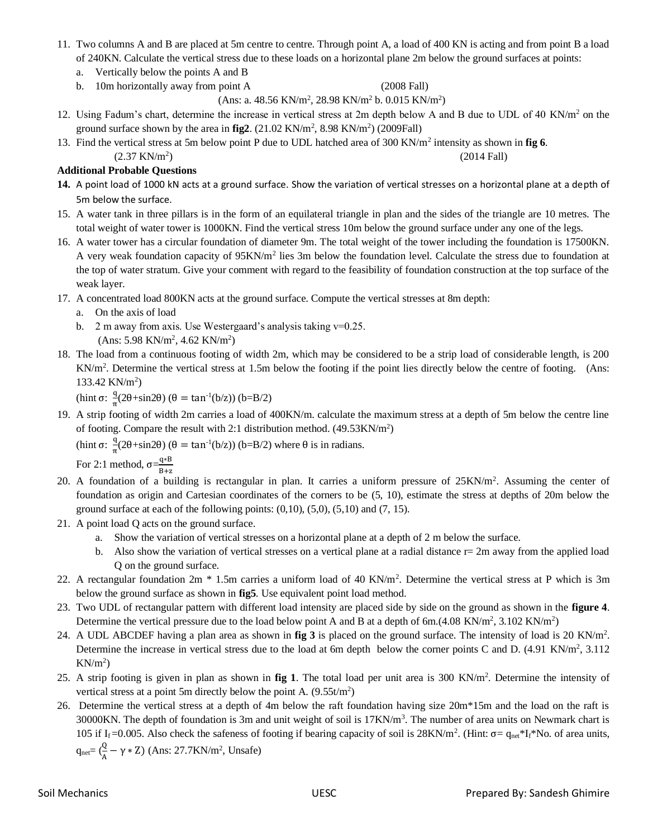- 11. Two columns A and B are placed at 5m centre to centre. Through point A, a load of 400 KN is acting and from point B a load of 240KN. Calculate the vertical stress due to these loads on a horizontal plane 2m below the ground surfaces at points:
	- a. Vertically below the points A and B
	- b. 10m horizontally away from point A (2008 Fall)

 $(Ans: a. 48.56 KN/m<sup>2</sup>, 28.98 KN/m<sup>2</sup> b. 0.015 KN/m<sup>2</sup>)$ 

- 12. Using Fadum's chart, determine the increase in vertical stress at 2m depth below A and B due to UDL of 40 KN/m<sup>2</sup> on the ground surface shown by the area in  $fig2$ .  $(21.02 \text{ KN/m}^2, 8.98 \text{ KN/m}^2)$   $(2009 \text{Fall})$
- 13. Find the vertical stress at 5m below point P due to UDL hatched area of 300 KN/m<sup>2</sup> intensity as shown in **fig 6**. ) (2014 Fall)

 $(2.37 \text{ KN/m}^2)$ 

### **Additional Probable Questions**

- **14.** A point load of 1000 kN acts at a ground surface. Show the variation of vertical stresses on a horizontal plane at a depth of 5m below the surface.
- 15. A water tank in three pillars is in the form of an equilateral triangle in plan and the sides of the triangle are 10 metres. The total weight of water tower is 1000KN. Find the vertical stress 10m below the ground surface under any one of the legs.
- 16. A water tower has a circular foundation of diameter 9m. The total weight of the tower including the foundation is 17500KN. A very weak foundation capacity of 95KN/m<sup>2</sup> lies 3m below the foundation level. Calculate the stress due to foundation at the top of water stratum. Give your comment with regard to the feasibility of foundation construction at the top surface of the weak layer.
- 17. A concentrated load 800KN acts at the ground surface. Compute the vertical stresses at 8m depth:
	- a. On the axis of load
	- b. 2 m away from axis. Use Westergaard's analysis taking  $v=0.25$ .
		- (Ans: 5.98 KN/m<sup>2</sup>, 4.62 KN/m<sup>2</sup>)
- 18. The load from a continuous footing of width 2m, which may be considered to be a strip load of considerable length, is 200 KN/m<sup>2</sup>. Determine the vertical stress at 1.5m below the footing if the point lies directly below the centre of footing. (Ans: 133.42 KN/m<sup>2</sup>)

(hint  $\sigma$ :  $\frac{q}{q}$ )  $\frac{q}{\pi}$ (2θ+sin2θ) (θ = tan<sup>-1</sup>(b/z)) (b=B/2)

19. A strip footing of width 2m carries a load of 400KN/m. calculate the maximum stress at a depth of 5m below the centre line of footing. Compare the result with 2:1 distribution method.  $(49.53 \text{KN/m}^2)$ 

(hint  $\sigma$ :  $\frac{q}{q}$  $\frac{q}{\pi}(2\theta + \sin 2\theta)$  ( $\theta = \tan^{-1}(b/z)$ ) ( $b = B/2$ ) where  $\theta$  is in radians.

For 2:1 method,  $\sigma = \frac{q*B}{R}$ B+z

- 20. A foundation of a building is rectangular in plan. It carries a uniform pressure of 25KN/m<sup>2</sup>. Assuming the center of foundation as origin and Cartesian coordinates of the corners to be (5, 10), estimate the stress at depths of 20m below the ground surface at each of the following points:  $(0,10)$ ,  $(5,0)$ ,  $(5,10)$  and  $(7, 15)$ .
- 21. A point load Q acts on the ground surface.
	- a. Show the variation of vertical stresses on a horizontal plane at a depth of 2 m below the surface.
	- b. Also show the variation of vertical stresses on a vertical plane at a radial distance  $r=2m$  away from the applied load Q on the ground surface.
- 22. A rectangular foundation 2m  $*$  1.5m carries a uniform load of 40 KN/m<sup>2</sup>. Determine the vertical stress at P which is 3m below the ground surface as shown in **fig5**. Use equivalent point load method.
- 23. Two UDL of rectangular pattern with different load intensity are placed side by side on the ground as shown in the **figure 4**. Determine the vertical pressure due to the load below point A and B at a depth of 6m.(4.08 KN/m<sup>2</sup>, 3.102 KN/m<sup>2</sup>)
- 24. A UDL ABCDEF having a plan area as shown in **fig 3** is placed on the ground surface. The intensity of load is 20 KN/m<sup>2</sup> . Determine the increase in vertical stress due to the load at 6m depth below the corner points C and D. (4.91 KN/m<sup>2</sup>, 3.112  $KN/m^2$ )
- 25. A strip footing is given in plan as shown in **fig 1**. The total load per unit area is 300 KN/m<sup>2</sup> . Determine the intensity of vertical stress at a point 5m directly below the point A.  $(9.55t/m^2)$
- 26. Determine the vertical stress at a depth of 4m below the raft foundation having size 20m\*15m and the load on the raft is 30000KN. The depth of foundation is 3m and unit weight of soil is 17KN/m<sup>3</sup>. The number of area units on Newmark chart is 105 if I<sub>f</sub>=0.005. Also check the safeness of footing if bearing capacity of soil is 28KN/m<sup>2</sup>. (Hint: σ= q<sub>net</sub>\*I<sub>f</sub>\*No. of area units,  $q_{net} = (\frac{Q}{A} - \gamma * Z)$  (Ans: 27.7KN/m<sup>2</sup>, Unsafe)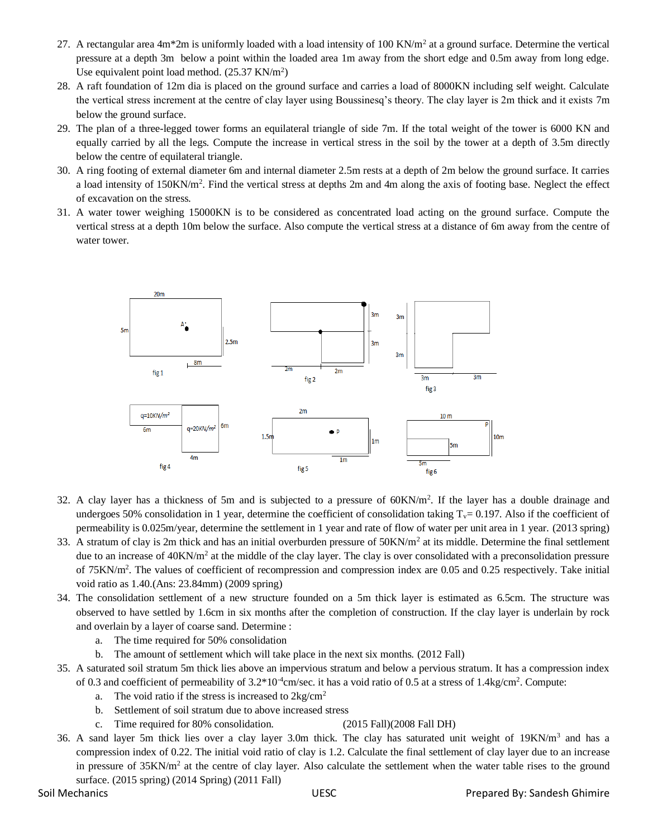- 27. A rectangular area  $4m*2m$  is uniformly loaded with a load intensity of 100 KN/ $m<sup>2</sup>$  at a ground surface. Determine the vertical pressure at a depth 3m below a point within the loaded area 1m away from the short edge and 0.5m away from long edge. Use equivalent point load method. (25.37 KN/m<sup>2</sup>)
- 28. A raft foundation of 12m dia is placed on the ground surface and carries a load of 8000KN including self weight. Calculate the vertical stress increment at the centre of clay layer using Boussinesq's theory. The clay layer is 2m thick and it exists 7m below the ground surface.
- 29. The plan of a three-legged tower forms an equilateral triangle of side 7m. If the total weight of the tower is 6000 KN and equally carried by all the legs. Compute the increase in vertical stress in the soil by the tower at a depth of 3.5m directly below the centre of equilateral triangle.
- 30. A ring footing of external diameter 6m and internal diameter 2.5m rests at a depth of 2m below the ground surface. It carries a load intensity of 150KN/m<sup>2</sup>. Find the vertical stress at depths 2m and 4m along the axis of footing base. Neglect the effect of excavation on the stress.
- 31. A water tower weighing 15000KN is to be considered as concentrated load acting on the ground surface. Compute the vertical stress at a depth 10m below the surface. Also compute the vertical stress at a distance of 6m away from the centre of water tower.



- 32. A clay layer has a thickness of 5m and is subjected to a pressure of 60KN/m<sup>2</sup>. If the layer has a double drainage and undergoes 50% consolidation in 1 year, determine the coefficient of consolidation taking  $T_v= 0.197$ . Also if the coefficient of permeability is 0.025m/year, determine the settlement in 1 year and rate of flow of water per unit area in 1 year. (2013 spring)
- 33. A stratum of clay is 2m thick and has an initial overburden pressure of 50KN/m<sup>2</sup> at its middle. Determine the final settlement due to an increase of 40KN/m<sup>2</sup> at the middle of the clay layer. The clay is over consolidated with a preconsolidation pressure of 75KN/m<sup>2</sup>. The values of coefficient of recompression and compression index are 0.05 and 0.25 respectively. Take initial void ratio as 1.40.(Ans: 23.84mm) (2009 spring)
- 34. The consolidation settlement of a new structure founded on a 5m thick layer is estimated as 6.5cm. The structure was observed to have settled by 1.6cm in six months after the completion of construction. If the clay layer is underlain by rock and overlain by a layer of coarse sand. Determine :
	- a. The time required for 50% consolidation
	- b. The amount of settlement which will take place in the next six months. (2012 Fall)
- 35. A saturated soil stratum 5m thick lies above an impervious stratum and below a pervious stratum. It has a compression index of 0.3 and coefficient of permeability of  $3.2*10^4$ cm/sec. it has a void ratio of 0.5 at a stress of 1.4kg/cm<sup>2</sup>. Compute:
	- a. The void ratio if the stress is increased to  $2kg/cm<sup>2</sup>$
	- b. Settlement of soil stratum due to above increased stress
	- c. Time required for 80% consolidation. (2015 Fall)(2008 Fall DH)

36. A sand layer 5m thick lies over a clay layer 3.0m thick. The clay has saturated unit weight of  $19KN/m<sup>3</sup>$  and has a compression index of 0.22. The initial void ratio of clay is 1.2. Calculate the final settlement of clay layer due to an increase in pressure of  $35KN/m^2$  at the centre of clay layer. Also calculate the settlement when the water table rises to the ground surface. (2015 spring) (2014 Spring) (2011 Fall)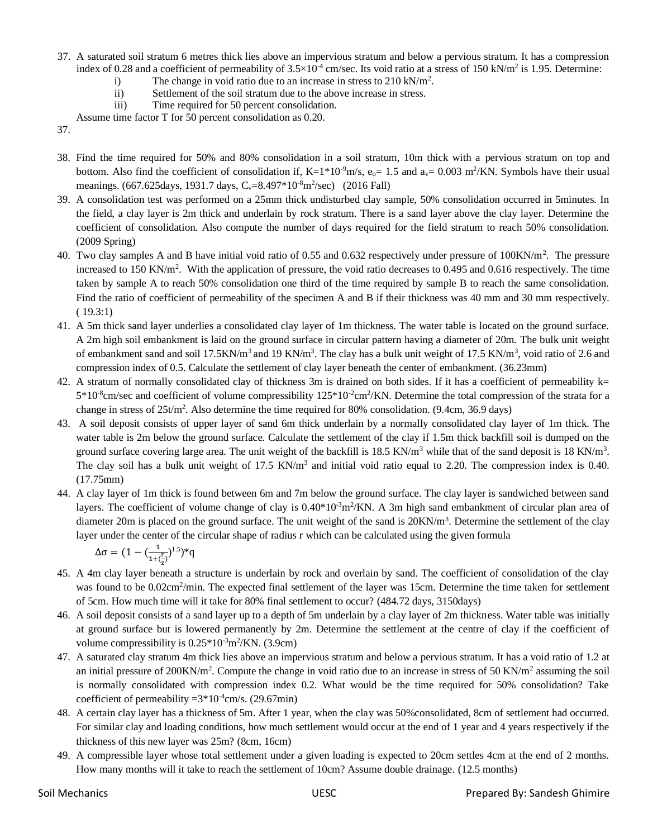- 37. A saturated soil stratum 6 metres thick lies above an impervious stratum and below a pervious stratum. It has a compression index of 0.28 and a coefficient of permeability of  $3.5 \times 10^{-4}$  cm/sec. Its void ratio at a stress of 150 kN/m<sup>2</sup> is 1.95. Determine:
	- i) The change in void ratio due to an increase in stress to  $210 \text{ kN/m}^2$ .
	- ii) Settlement of the soil stratum due to the above increase in stress.
	- iii) Time required for 50 percent consolidation.
	- Assume time factor T for 50 percent consolidation as 0.20.
- 37.
- 38. Find the time required for 50% and 80% consolidation in a soil stratum, 10m thick with a pervious stratum on top and bottom. Also find the coefficient of consolidation if,  $K=1*10^9$ m/s,  $e_0=1.5$  and  $a_v=0.003$  m<sup>2</sup>/KN. Symbols have their usual meanings. (667.625days, 1931.7 days,  $C_v = 8.497 * 10^{-8}$ m<sup>2</sup>/sec) (2016 Fall)
- 39. A consolidation test was performed on a 25mm thick undisturbed clay sample, 50% consolidation occurred in 5minutes. In the field, a clay layer is 2m thick and underlain by rock stratum. There is a sand layer above the clay layer. Determine the coefficient of consolidation. Also compute the number of days required for the field stratum to reach 50% consolidation. (2009 Spring)
- 40. Two clay samples A and B have initial void ratio of 0.55 and 0.632 respectively under pressure of  $100KN/m^2$ . The pressure increased to 150 KN/m<sup>2</sup>. With the application of pressure, the void ratio decreases to 0.495 and 0.616 respectively. The time taken by sample A to reach 50% consolidation one third of the time required by sample B to reach the same consolidation. Find the ratio of coefficient of permeability of the specimen A and B if their thickness was 40 mm and 30 mm respectively. ( 19.3:1)
- 41. A 5m thick sand layer underlies a consolidated clay layer of 1m thickness. The water table is located on the ground surface. A 2m high soil embankment is laid on the ground surface in circular pattern having a diameter of 20m. The bulk unit weight of embankment sand and soil 17.5KN/m<sup>3</sup> and 19 KN/m<sup>3</sup>. The clay has a bulk unit weight of 17.5 KN/m<sup>3</sup>, void ratio of 2.6 and compression index of 0.5. Calculate the settlement of clay layer beneath the center of embankment. (36.23mm)
- 42. A stratum of normally consolidated clay of thickness 3m is drained on both sides. If it has a coefficient of permeability  $k=$  $5*10*$ cm/sec and coefficient of volume compressibility  $125*10*2$ cm<sup>2</sup>/KN. Determine the total compression of the strata for a change in stress of 25t/m<sup>2</sup>. Also determine the time required for 80% consolidation. (9.4cm, 36.9 days)
- 43. A soil deposit consists of upper layer of sand 6m thick underlain by a normally consolidated clay layer of 1m thick. The water table is 2m below the ground surface. Calculate the settlement of the clay if 1.5m thick backfill soil is dumped on the ground surface covering large area. The unit weight of the backfill is  $18.5 \text{ KN/m}^3$  while that of the sand deposit is  $18 \text{ KN/m}^3$ . The clay soil has a bulk unit weight of  $17.5 \text{ KN/m}^3$  and initial void ratio equal to 2.20. The compression index is 0.40. (17.75mm)
- 44. A clay layer of 1m thick is found between 6m and 7m below the ground surface. The clay layer is sandwiched between sand layers. The coefficient of volume change of clay is  $0.40*10^3$ m<sup>2</sup>/KN. A 3m high sand embankment of circular plan area of diameter 20m is placed on the ground surface. The unit weight of the sand is  $20KN/m<sup>3</sup>$ . Determine the settlement of the clay layer under the center of the circular shape of radius r which can be calculated using the given formula

$$
\Delta \sigma = (1 - (\frac{1}{1+(\frac{r}{z})})^{1.5})^*q
$$

- 45. A 4m clay layer beneath a structure is underlain by rock and overlain by sand. The coefficient of consolidation of the clay was found to be 0.02cm<sup>2</sup>/min. The expected final settlement of the layer was 15cm. Determine the time taken for settlement of 5cm. How much time will it take for 80% final settlement to occur? (484.72 days, 3150days)
- 46. A soil deposit consists of a sand layer up to a depth of 5m underlain by a clay layer of 2m thickness. Water table was initially at ground surface but is lowered permanently by 2m. Determine the settlement at the centre of clay if the coefficient of volume compressibility is  $0.25*10<sup>-3</sup>m<sup>2</sup>/KN$ . (3.9cm)
- 47. A saturated clay stratum 4m thick lies above an impervious stratum and below a pervious stratum. It has a void ratio of 1.2 at an initial pressure of 200KN/m<sup>2</sup>. Compute the change in void ratio due to an increase in stress of 50 KN/m<sup>2</sup> assuming the soil is normally consolidated with compression index 0.2. What would be the time required for 50% consolidation? Take coefficient of permeability  $=3*10<sup>-4</sup>$ cm/s. (29.67min)
- 48. A certain clay layer has a thickness of 5m. After 1 year, when the clay was 50%consolidated, 8cm of settlement had occurred. For similar clay and loading conditions, how much settlement would occur at the end of 1 year and 4 years respectively if the thickness of this new layer was 25m? (8cm, 16cm)
- 49. A compressible layer whose total settlement under a given loading is expected to 20cm settles 4cm at the end of 2 months. How many months will it take to reach the settlement of 10cm? Assume double drainage. (12.5 months)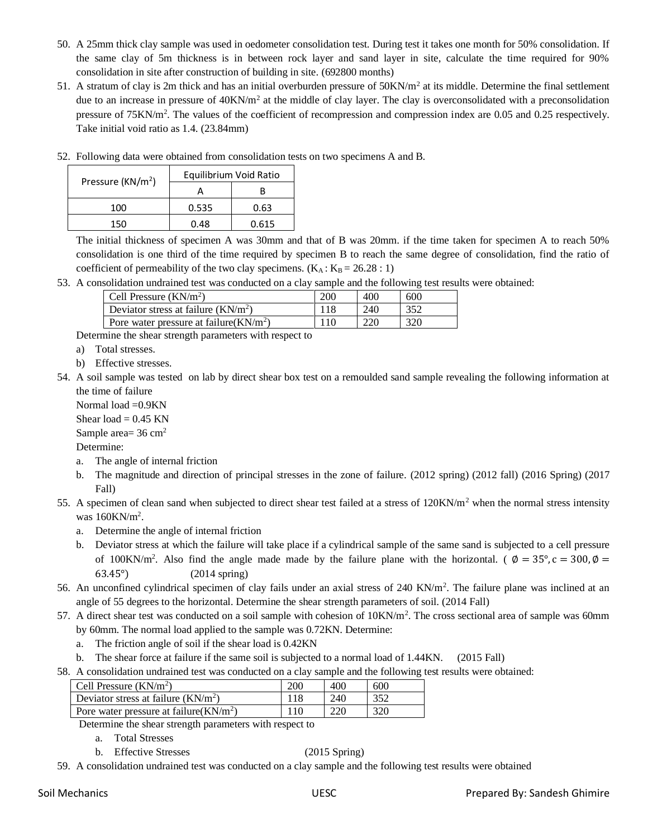- 50. A 25mm thick clay sample was used in oedometer consolidation test. During test it takes one month for 50% consolidation. If the same clay of 5m thickness is in between rock layer and sand layer in site, calculate the time required for 90% consolidation in site after construction of building in site. (692800 months)
- 51. A stratum of clay is 2m thick and has an initial overburden pressure of  $50KN/m<sup>2</sup>$  at its middle. Determine the final settlement due to an increase in pressure of  $40$ KN/m<sup>2</sup> at the middle of clay layer. The clay is overconsolidated with a preconsolidation pressure of 75KN/m<sup>2</sup>. The values of the coefficient of recompression and compression index are 0.05 and 0.25 respectively. Take initial void ratio as 1.4. (23.84mm)

| Pressure ( $KN/m2$ ) | Equilibrium Void Ratio |       |  |
|----------------------|------------------------|-------|--|
|                      |                        |       |  |
| 100                  | 0.535                  | 0.63  |  |
| 150                  | በ 48                   | 0.615 |  |

52. Following data were obtained from consolidation tests on two specimens A and B.

The initial thickness of specimen A was 30mm and that of B was 20mm. if the time taken for specimen A to reach 50% consolidation is one third of the time required by specimen B to reach the same degree of consolidation, find the ratio of coefficient of permeability of the two clay specimens.  $(K_A : K_B = 26.28 : 1)$ 

53. A consolidation undrained test was conducted on a clay sample and the following test results were obtained:

| Cell Pressure $(KN/m^2)$                  | 200   | 400 | 600 |
|-------------------------------------------|-------|-----|-----|
| Deviator stress at failure $(KN/m2)$      |       | 240 | 352 |
| Pore water pressure at failure $(KN/m^2)$ | l 1 C | 220 | 320 |

Determine the shear strength parameters with respect to

- a) Total stresses.
- b) Effective stresses.

54. A soil sample was tested on lab by direct shear box test on a remoulded sand sample revealing the following information at the time of failure

Normal load =0.9KN Shear load  $= 0.45$  KN

Sample area= 36 cm<sup>2</sup>

Determine:

- a. The angle of internal friction
- b. The magnitude and direction of principal stresses in the zone of failure. (2012 spring) (2012 fall) (2016 Spring) (2017 Fall)
- 55. A specimen of clean sand when subjected to direct shear test failed at a stress of  $120KN/m<sup>2</sup>$  when the normal stress intensity was 160KN/m<sup>2</sup>.
	- a. Determine the angle of internal friction
	- b. Deviator stress at which the failure will take place if a cylindrical sample of the same sand is subjected to a cell pressure of 100KN/m<sup>2</sup>. Also find the angle made made by the failure plane with the horizontal. ( $\phi = 35^{\circ}, c = 300, \phi =$ 63.45°) (2014 spring)
- 56. An unconfined cylindrical specimen of clay fails under an axial stress of  $240 \text{ KN/m}^2$ . The failure plane was inclined at an angle of 55 degrees to the horizontal. Determine the shear strength parameters of soil. (2014 Fall)
- 57. A direct shear test was conducted on a soil sample with cohesion of  $10KN/m^2$ . The cross sectional area of sample was 60mm by 60mm. The normal load applied to the sample was 0.72KN. Determine:
	- a. The friction angle of soil if the shear load is 0.42KN
	- b. The shear force at failure if the same soil is subjected to a normal load of 1.44KN. (2015 Fall)
- 58. A consolidation undrained test was conducted on a clay sample and the following test results were obtained:

| Cell Pressure $(KN/m^2)$                  | 200 | 400 | 600 |
|-------------------------------------------|-----|-----|-----|
| Deviator stress at failure $(KN/m2)$      |     | 240 | 352 |
| Pore water pressure at failure $(KN/m^2)$ | 110 | 220 | 320 |

Determine the shear strength parameters with respect to

- a. Total Stresses
- b. Effective Stresses (2015 Spring)
- 59. A consolidation undrained test was conducted on a clay sample and the following test results were obtained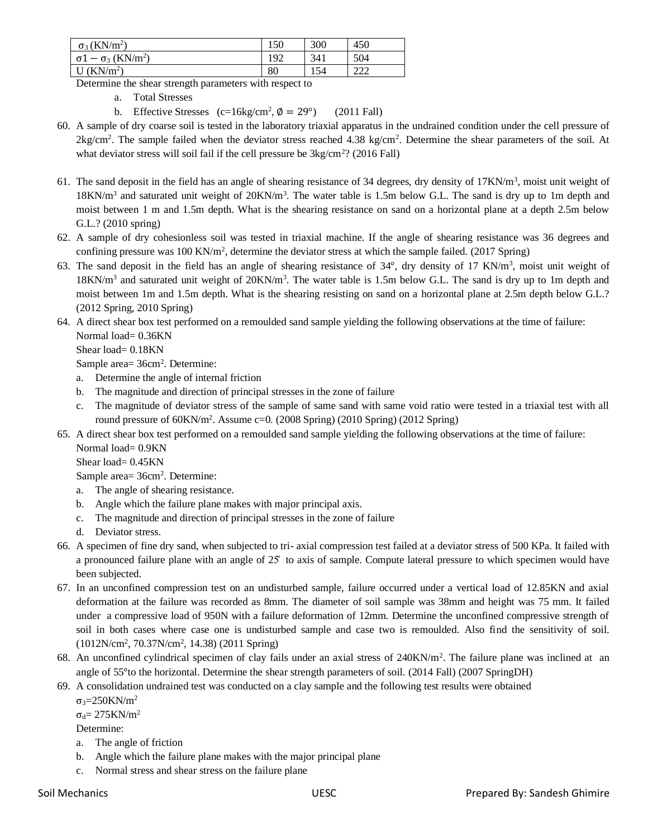| $\sigma_3$ (KN/m <sup>2</sup> )                         | 150 | 300 | 450        |
|---------------------------------------------------------|-----|-----|------------|
| $\sigma$ 1 – $\sigma$ <sub>3</sub> (KN/m <sup>2</sup> ) | 192 | 341 | 504        |
| (KN/m <sup>2</sup> )<br>ı U                             | 80  | 154 | 222<br>∠∠∠ |

Determine the shear strength parameters with respect to

a. Total Stresses

b. Effective Stresses  $(c=16\text{kg/cm}^2, \phi = 29^\circ)$  (2011 Fall)

- 60. A sample of dry coarse soil is tested in the laboratory triaxial apparatus in the undrained condition under the cell pressure of  $2\text{kg/cm}^2$ . The sample failed when the deviator stress reached 4.38 kg/cm<sup>2</sup>. Determine the shear parameters of the soil. At what deviator stress will soil fail if the cell pressure be  $3kg/cm<sup>2</sup>$ ? (2016 Fall)
- 61. The sand deposit in the field has an angle of shearing resistance of 34 degrees, dry density of 17KN/m<sup>3</sup>, moist unit weight of  $18KN/m<sup>3</sup>$  and saturated unit weight of  $20KN/m<sup>3</sup>$ . The water table is 1.5m below G.L. The sand is dry up to 1m depth and moist between 1 m and 1.5m depth. What is the shearing resistance on sand on a horizontal plane at a depth 2.5m below G.L.? (2010 spring)
- 62. A sample of dry cohesionless soil was tested in triaxial machine. If the angle of shearing resistance was 36 degrees and confining pressure was 100 KN/m<sup>2</sup>, determine the deviator stress at which the sample failed. (2017 Spring)
- 63. The sand deposit in the field has an angle of shearing resistance of 34°, dry density of 17 KN/m<sup>3</sup>, moist unit weight of  $18KN/m<sup>3</sup>$  and saturated unit weight of  $20KN/m<sup>3</sup>$ . The water table is 1.5m below G.L. The sand is dry up to 1m depth and moist between 1m and 1.5m depth. What is the shearing resisting on sand on a horizontal plane at 2.5m depth below G.L.? (2012 Spring, 2010 Spring)
- 64. A direct shear box test performed on a remoulded sand sample yielding the following observations at the time of failure: Normal load= 0.36KN

Shear load=  $0.18$ KN

Sample area= 36cm<sup>2</sup>. Determine:

- a. Determine the angle of internal friction
- b. The magnitude and direction of principal stresses in the zone of failure
- c. The magnitude of deviator stress of the sample of same sand with same void ratio were tested in a triaxial test with all round pressure of 60KN/m<sup>2</sup>. Assume c=0. (2008 Spring) (2010 Spring) (2012 Spring)
- 65. A direct shear box test performed on a remoulded sand sample yielding the following observations at the time of failure: Normal load= 0.9KN

Shear load=  $0.45$ KN

Sample area= 36cm<sup>2</sup>. Determine:

- a. The angle of shearing resistance.
- b. Angle which the failure plane makes with major principal axis.
- c. The magnitude and direction of principal stresses in the zone of failure
- d. Deviator stress.
- 66. A specimen of fine dry sand, when subjected to tri- axial compression test failed at a deviator stress of 500 KPa. It failed with a pronounced failure plane with an angle of 25̊ to axis of sample. Compute lateral pressure to which specimen would have been subjected.
- 67. In an unconfined compression test on an undisturbed sample, failure occurred under a vertical load of 12.85KN and axial deformation at the failure was recorded as 8mm. The diameter of soil sample was 38mm and height was 75 mm. It failed under a compressive load of 950N with a failure deformation of 12mm. Determine the unconfined compressive strength of soil in both cases where case one is undisturbed sample and case two is remoulded. Also find the sensitivity of soil. (1012N/cm<sup>2</sup> , 70.37N/cm<sup>2</sup> , 14.38) (2011 Spring)
- 68. An unconfined cylindrical specimen of clay fails under an axial stress of 240KN/m<sup>2</sup>. The failure plane was inclined at an angle of 55°to the horizontal. Determine the shear strength parameters of soil. (2014 Fall) (2007 SpringDH)
- 69. A consolidation undrained test was conducted on a clay sample and the following test results were obtained  $σ_3=250KN/m^2$

 $σ<sub>d</sub> = 275KN/m<sup>2</sup>$ 

Determine:

- a. The angle of friction
- b. Angle which the failure plane makes with the major principal plane
- c. Normal stress and shear stress on the failure plane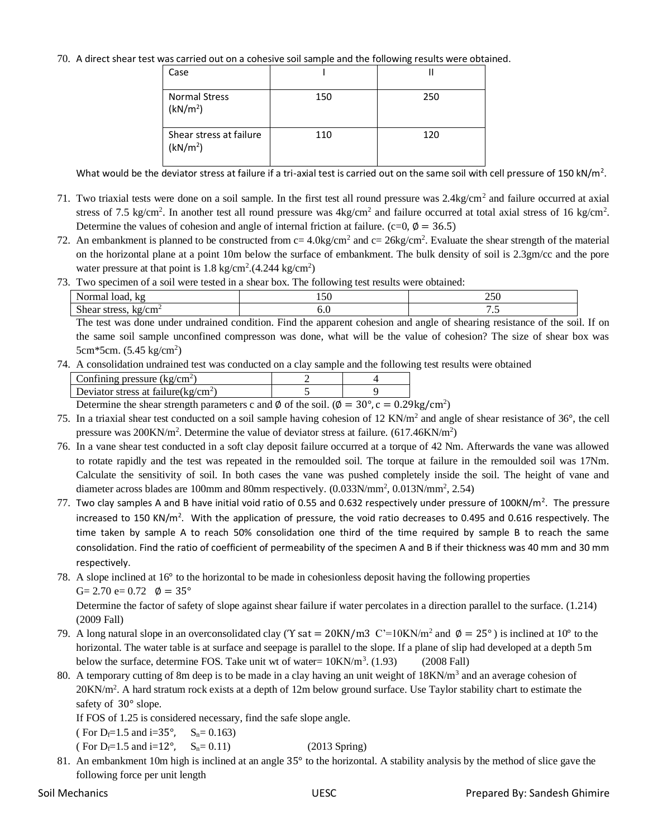70. A direct shear test was carried out on a cohesive soil sample and the following results were obtained.

| Case                                            |     |     |
|-------------------------------------------------|-----|-----|
| <b>Normal Stress</b><br>(kN/m <sup>2</sup> )    | 150 | 250 |
| Shear stress at failure<br>(kN/m <sup>2</sup> ) | 110 | 120 |

What would be the deviator stress at failure if a tri-axial test is carried out on the same soil with cell pressure of 150 kN/m<sup>2</sup>.

- 71. Two triaxial tests were done on a soil sample. In the first test all round pressure was  $2.4\text{kg/cm}^2$  and failure occurred at axial stress of 7.5 kg/cm<sup>2</sup>. In another test all round pressure was  $4kg/cm<sup>2</sup>$  and failure occurred at total axial stress of 16 kg/cm<sup>2</sup>. Determine the values of cohesion and angle of internal friction at failure. (c=0,  $\phi = 36.5$ )
- 72. An embankment is planned to be constructed from  $c = 4.0$ kg/cm<sup>2</sup> and  $c = 26$ kg/cm<sup>2</sup>. Evaluate the shear strength of the material on the horizontal plane at a point 10m below the surface of embankment. The bulk density of soil is 2.3gm/cc and the pore water pressure at that point is  $1.8 \text{ kg/cm}^2$ . (4.244 kg/cm<sup>2</sup>)
- 73. Two specimen of a soil were tested in a shear box. The following test results were obtained:

| $\mathbf{v}$<br>k.<br>$\sim$ 4444<br>toad.<br>на                                  | $\sim$ $\sim$<br>$\overline{ }$ | $\sim$ $\sim$ $\sim$<br>∠J∪ |
|-----------------------------------------------------------------------------------|---------------------------------|-----------------------------|
| $\sim$<br>$\mathbf{r}$<br>lτα<br>ำเรื่อง<br>$\sim$ $\sim$ $\sim$<br>3U W.H<br>ັ້ນ | v.c                             | ت ا                         |

The test was done under undrained condition. Find the apparent cohesion and angle of shearing resistance of the soil. If on the same soil sample unconfined compresson was done, what will be the value of cohesion? The size of shear box was 5cm\*5cm. (5.45 kg/cm<sup>2</sup>)

74. A consolidation undrained test was conducted on a clay sample and the following test results were obtained

| Confining pressure $(kg/cm2)$          |              |               |
|----------------------------------------|--------------|---------------|
| Deviator stress at failure( $kg/cm2$ ) |              |               |
|                                        | $\mathbf{H}$ | $\sim$ $\sim$ |

Determine the shear strength parameters c and  $\phi$  of the soil. ( $\phi = 30^{\circ}$ , c = 0.29kg/cm<sup>2</sup>)

- 75. In a triaxial shear test conducted on a soil sample having cohesion of 12 KN/ $m<sup>2</sup>$  and angle of shear resistance of 36 $\degree$ , the cell pressure was 200KN/m<sup>2</sup>. Determine the value of deviator stress at failure. (617.46KN/m<sup>2</sup>)
- 76. In a vane shear test conducted in a soft clay deposit failure occurred at a torque of 42 Nm. Afterwards the vane was allowed to rotate rapidly and the test was repeated in the remoulded soil. The torque at failure in the remoulded soil was 17Nm. Calculate the sensitivity of soil. In both cases the vane was pushed completely inside the soil. The height of vane and diameter across blades are 100mm and 80mm respectively.  $(0.033N/mm^2, 0.013N/mm^2, 2.54)$
- 77. Two clay samples A and B have initial void ratio of 0.55 and 0.632 respectively under pressure of 100KN/m<sup>2</sup>. The pressure increased to 150 KN/m<sup>2</sup>. With the application of pressure, the void ratio decreases to 0.495 and 0.616 respectively. The time taken by sample A to reach 50% consolidation one third of the time required by sample B to reach the same consolidation. Find the ratio of coefficient of permeability of the specimen A and B if their thickness was 40 mm and 30 mm respectively.
- 78. A slope inclined at 16° to the horizontal to be made in cohesionless deposit having the following properties G= 2.70 e=  $0.72$   $\phi = 35^{\circ}$

Determine the factor of safety of slope against shear failure if water percolates in a direction parallel to the surface. (1.214) (2009 Fall)

- 79. A long natural slope in an overconsolidated clay ( $\Upsilon$  sat = 20KN/m3 C'=10KN/m<sup>2</sup> and  $\phi$  = 25°) is inclined at 10° to the horizontal. The water table is at surface and seepage is parallel to the slope. If a plane of slip had developed at a depth 5m below the surface, determine FOS. Take unit wt of water=  $10 \text{KN/m}^3$ . (1.93) (2008 Fall)
- 80. A temporary cutting of 8m deep is to be made in a clay having an unit weight of 18KN/m<sup>3</sup> and an average cohesion of 20KN/m<sup>2</sup>. A hard stratum rock exists at a depth of 12m below ground surface. Use Taylor stability chart to estimate the safety of 30° slope.

If FOS of 1.25 is considered necessary, find the safe slope angle.

( For  $D_f=1.5$  and  $i=35^\circ$ ,  $S_n=0.163$ )

( For  $D_f=1.5$  and  $i=12^\circ$ ,  $S_n=0.11$ ) (2013 Spring)

81. An embankment 10m high is inclined at an angle 35° to the horizontal. A stability analysis by the method of slice gave the following force per unit length